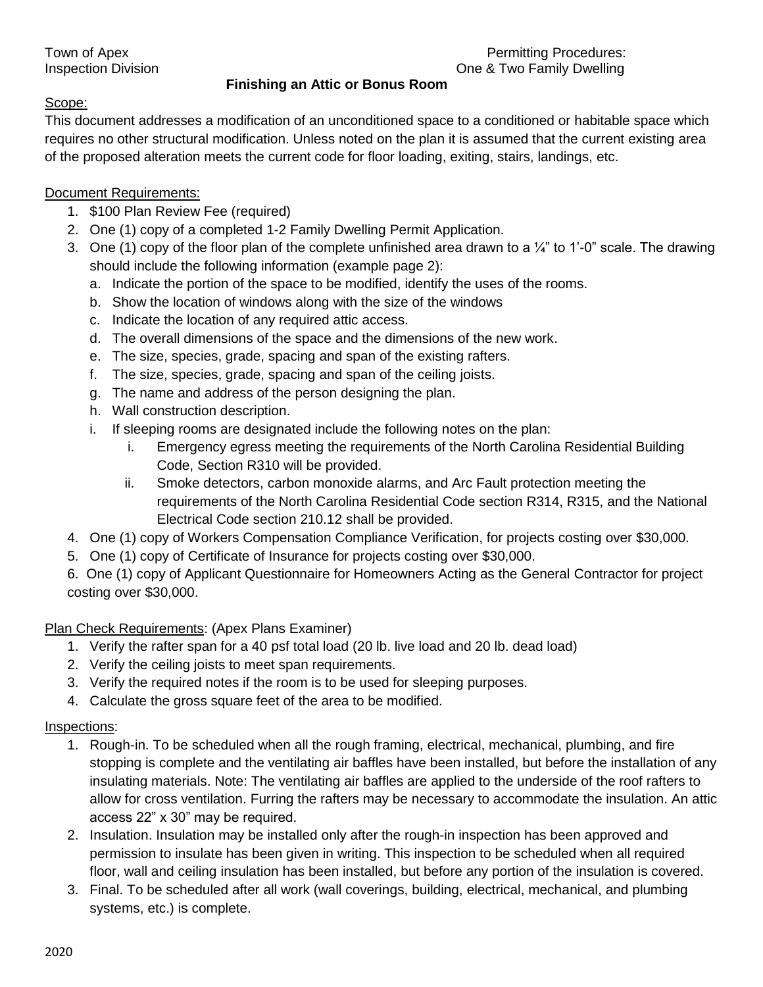#### Town of Apex **Permitting Procedures:** Inspection Division One & Two Family Dwelling

## **Finishing an Attic or Bonus Room**

## Scope:

This document addresses a modification of an unconditioned space to a conditioned or habitable space which requires no other structural modification. Unless noted on the plan it is assumed that the current existing area of the proposed alteration meets the current code for floor loading, exiting, stairs, landings, etc.

## Document Requirements:

- 1. \$100 Plan Review Fee (required)
- 2. One (1) copy of a completed 1-2 Family Dwelling Permit Application.
- 3. One (1) copy of the floor plan of the complete unfinished area drawn to a  $\frac{1}{4}$ " to 1'-0" scale. The drawing should include the following information (example page 2):
	- a. Indicate the portion of the space to be modified, identify the uses of the rooms.
	- b. Show the location of windows along with the size of the windows
	- c. Indicate the location of any required attic access.
	- d. The overall dimensions of the space and the dimensions of the new work.
	- e. The size, species, grade, spacing and span of the existing rafters.
	- f. The size, species, grade, spacing and span of the ceiling joists.
	- g. The name and address of the person designing the plan.
	- h. Wall construction description.
	- i. If sleeping rooms are designated include the following notes on the plan:
		- i. Emergency egress meeting the requirements of the North Carolina Residential Building Code, Section R310 will be provided.
		- ii. Smoke detectors, carbon monoxide alarms, and Arc Fault protection meeting the requirements of the North Carolina Residential Code section R314, R315, and the National Electrical Code section 210.12 shall be provided.
- 4. One (1) copy of Workers Compensation Compliance Verification, for projects costing over \$30,000.
- 5. One (1) copy of Certificate of Insurance for projects costing over \$30,000.
- 6. One (1) copy of Applicant Questionnaire for Homeowners Acting as the General Contractor for project costing over \$30,000.

# Plan Check Requirements: (Apex Plans Examiner)

- 1. Verify the rafter span for a 40 psf total load (20 lb. live load and 20 lb. dead load)
- 2. Verify the ceiling joists to meet span requirements.
- 3. Verify the required notes if the room is to be used for sleeping purposes.
- 4. Calculate the gross square feet of the area to be modified.

#### Inspections:

- 1. Rough-in. To be scheduled when all the rough framing, electrical, mechanical, plumbing, and fire stopping is complete and the ventilating air baffles have been installed, but before the installation of any insulating materials. Note: The ventilating air baffles are applied to the underside of the roof rafters to allow for cross ventilation. Furring the rafters may be necessary to accommodate the insulation. An attic access 22" x 30" may be required.
- 2. Insulation. Insulation may be installed only after the rough-in inspection has been approved and permission to insulate has been given in writing. This inspection to be scheduled when all required floor, wall and ceiling insulation has been installed, but before any portion of the insulation is covered.
- 3. Final. To be scheduled after all work (wall coverings, building, electrical, mechanical, and plumbing systems, etc.) is complete.